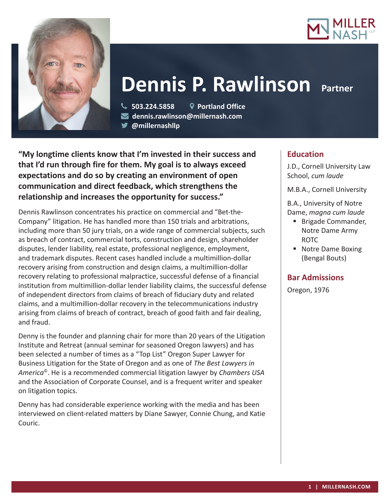



# **Dennis P. Rawlinson**

 **503.224.5858 Portland Office dennis.rawlinson@millernash.com** 

**@millernashllp** 

**"My longtime clients know that I'm invested in their success and that I'd run through fire for them. My goal is to always exceed expectations and do so by creating an environment of open communication and direct feedback, which strengthens the relationship and increases the opportunity for success."**

Dennis Rawlinson concentrates his practice on commercial and "Bet-the-Company" litigation. He has handled more than 150 trials and arbitrations, including more than 50 jury trials, on a wide range of commercial subjects, such as breach of contract, commercial torts, construction and design, shareholder disputes, lender liability, real estate, professional negligence, employment, and trademark disputes. Recent cases handled include a multimillion-dollar recovery arising from construction and design claims, a multimillion-dollar recovery relating to professional malpractice, successful defense of a financial institution from multimillion-dollar lender liability claims, the successful defense of independent directors from claims of breach of fiduciary duty and related claims, and a multimillion-dollar recovery in the telecommunications industry arising from claims of breach of contract, breach of good faith and fair dealing, and fraud.

Denny is the founder and planning chair for more than 20 years of the Litigation Institute and Retreat (annual seminar for seasoned Oregon lawyers) and has been selected a number of times as a "Top List" Oregon Super Lawyer for Business Litigation for the State of Oregon and as one of *The Best Lawyers in America*©. He is a recommended commercial litigation lawyer by *Chambers USA* and the Association of Corporate Counsel, and is a frequent writer and speaker on litigation topics.

Denny has had considerable experience working with the media and has been interviewed on client-related matters by Diane Sawyer, Connie Chung, and Katie Couric.

# **Education**

J.D., Cornell University Law School, *cum laude*

M.B.A., Cornell University

B.A., University of Notre Dame, *magna cum laude*

- **Brigade Commander,** Notre Dame Army ROTC
- **Notre Dame Boxing** (Bengal Bouts)

## **Bar Admissions**

Oregon, 1976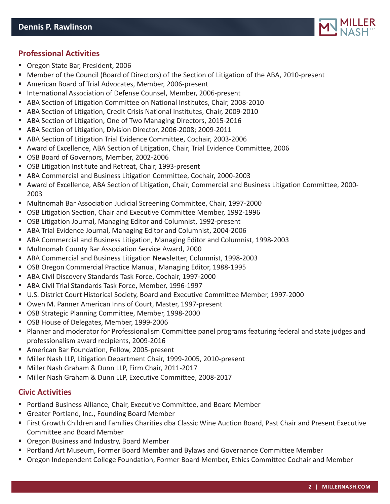

- Oregon State Bar, President, 2006
- Member of the Council (Board of Directors) of the Section of Litigation of the ABA, 2010-present
- American Board of Trial Advocates, Member, 2006-present
- **International Association of Defense Counsel, Member, 2006-present**
- ABA Section of Litigation Committee on National Institutes, Chair, 2008-2010
- ABA Section of Litigation, Credit Crisis National Institutes, Chair, 2009-2010
- ABA Section of Litigation, One of Two Managing Directors, 2015-2016
- ABA Section of Litigation, Division Director, 2006-2008; 2009-2011
- ABA Section of Litigation Trial Evidence Committee, Cochair, 2003-2006
- Award of Excellence, ABA Section of Litigation, Chair, Trial Evidence Committee, 2006
- OSB Board of Governors, Member, 2002-2006
- OSB Litigation Institute and Retreat, Chair, 1993-present
- ABA Commercial and Business Litigation Committee, Cochair, 2000-2003
- Award of Excellence, ABA Section of Litigation, Chair, Commercial and Business Litigation Committee, 2000- 2003
- Multnomah Bar Association Judicial Screening Committee, Chair, 1997-2000
- OSB Litigation Section, Chair and Executive Committee Member, 1992-1996
- OSB Litigation Journal, Managing Editor and Columnist, 1992-present
- ABA Trial Evidence Journal, Managing Editor and Columnist, 2004-2006
- ABA Commercial and Business Litigation, Managing Editor and Columnist, 1998-2003
- Multnomah County Bar Association Service Award, 2000
- ABA Commercial and Business Litigation Newsletter, Columnist, 1998-2003
- OSB Oregon Commercial Practice Manual, Managing Editor, 1988-1995
- ABA Civil Discovery Standards Task Force, Cochair, 1997-2000
- ABA Civil Trial Standards Task Force, Member, 1996-1997
- U.S. District Court Historical Society, Board and Executive Committee Member, 1997-2000
- Owen M. Panner American Inns of Court, Master, 1997-present
- OSB Strategic Planning Committee, Member, 1998-2000
- OSB House of Delegates, Member, 1999-2006
- Planner and moderator for Professionalism Committee panel programs featuring federal and state judges and professionalism award recipients, 2009-2016
- American Bar Foundation, Fellow, 2005-present
- Miller Nash LLP, Litigation Department Chair, 1999-2005, 2010-present
- Miller Nash Graham & Dunn LLP, Firm Chair, 2011-2017
- Miller Nash Graham & Dunn LLP, Executive Committee, 2008-2017

#### **Civic Activities**

- Portland Business Alliance, Chair, Executive Committee, and Board Member
- Greater Portland, Inc., Founding Board Member
- First Growth Children and Families Charities dba Classic Wine Auction Board, Past Chair and Present Executive Committee and Board Member
- Oregon Business and Industry, Board Member
- Portland Art Museum, Former Board Member and Bylaws and Governance Committee Member
- Oregon Independent College Foundation, Former Board Member, Ethics Committee Cochair and Member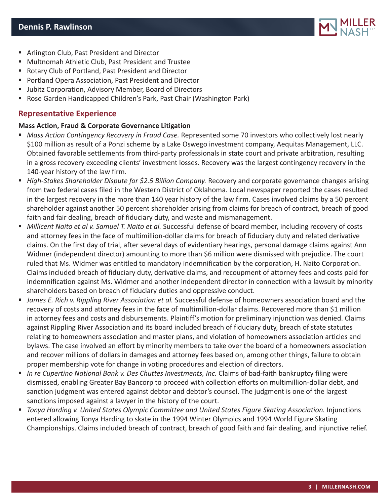

- **F** Arlington Club, Past President and Director
- Multnomah Athletic Club, Past President and Trustee
- Rotary Club of Portland, Past President and Director
- Portland Opera Association, Past President and Director
- **Jubitz Corporation, Advisory Member, Board of Directors**
- Rose Garden Handicapped Children's Park, Past Chair (Washington Park)

### **Representative Experience**

#### **Mass Action, Fraud & Corporate Governance Litigation**

- *Mass Action Contingency Recovery in Fraud Case.* Represented some 70 investors who collectively lost nearly \$100 million as result of a Ponzi scheme by a Lake Oswego investment company, Aequitas Management, LLC. Obtained favorable settlements from third-party professionals in state court and private arbitration, resulting in a gross recovery exceeding clients' investment losses. Recovery was the largest contingency recovery in the 140-year history of the law firm.
- *High-Stakes Shareholder Dispute for \$2.5 Billion Company.* Recovery and corporate governance changes arising from two federal cases filed in the Western District of Oklahoma. Local newspaper reported the cases resulted in the largest recovery in the more than 140 year history of the law firm. Cases involved claims by a 50 percent shareholder against another 50 percent shareholder arising from claims for breach of contract, breach of good faith and fair dealing, breach of fiduciary duty, and waste and mismanagement.
- *Millicent Naito et al v. Samuel T. Naito et al.* Successful defense of board member, including recovery of costs and attorney fees in the face of multimillion-dollar claims for breach of fiduciary duty and related derivative claims. On the first day of trial, after several days of evidentiary hearings, personal damage claims against Ann Widmer (independent director) amounting to more than \$6 million were dismissed with prejudice. The court ruled that Ms. Widmer was entitled to mandatory indemnification by the corporation, H. Naito Corporation. Claims included breach of fiduciary duty, derivative claims, and recoupment of attorney fees and costs paid for indemnification against Ms. Widmer and another independent director in connection with a lawsuit by minority shareholders based on breach of fiduciary duties and oppressive conduct.
- *James E. Rich v. Rippling River Association et al.* Successful defense of homeowners association board and the recovery of costs and attorney fees in the face of multimillion-dollar claims. Recovered more than \$1 million in attorney fees and costs and disbursements. Plaintiff's motion for preliminary injunction was denied. Claims against Rippling River Association and its board included breach of fiduciary duty, breach of state statutes relating to homeowners association and master plans, and violation of homeowners association articles and bylaws. The case involved an effort by minority members to take over the board of a homeowners association and recover millions of dollars in damages and attorney fees based on, among other things, failure to obtain proper membership vote for change in voting procedures and election of directors.
- **In re Cupertino National Bank v. Des Chuttes Investments, Inc. Claims of bad-faith bankruptcy filing were** dismissed, enabling Greater Bay Bancorp to proceed with collection efforts on multimillion-dollar debt, and sanction judgment was entered against debtor and debtor's counsel. The judgment is one of the largest sanctions imposed against a lawyer in the history of the court.
- *Tonya Harding v. United States Olympic Committee and United States Figure Skating Association.* Injunctions entered allowing Tonya Harding to skate in the 1994 Winter Olympics and 1994 World Figure Skating Championships. Claims included breach of contract, breach of good faith and fair dealing, and injunctive relief.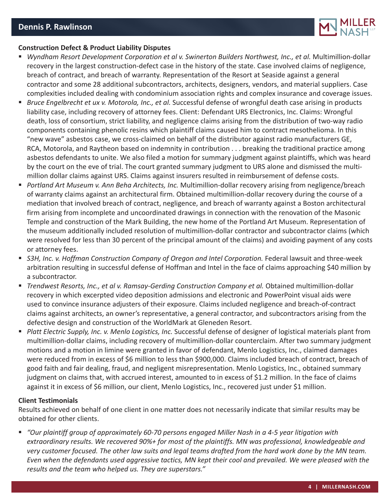

#### **Construction Defect & Product Liability Disputes**

- *Wyndham Resort Development Corporation et al v. Swinerton Builders Northwest, Inc., et al.* Multimillion-dollar recovery in the largest construction-defect case in the history of the state. Case involved claims of negligence, breach of contract, and breach of warranty. Representation of the Resort at Seaside against a general contractor and some 28 additional subcontractors, architects, designers, vendors, and material suppliers. Case complexities included dealing with condominium association rights and complex insurance and coverage issues.
- *Bruce Engelbrecht et ux v. Motorola, Inc., et al.* Successful defense of wrongful death case arising in products liability case, including recovery of attorney fees. Client: Defendant URS Electronics, Inc. Claims: Wrongful death, loss of consortium, strict liability, and negligence claims arising from the distribution of two-way radio components containing phenolic resins which plaintiff claims caused him to contract mesothelioma. In this "new wave" asbestos case, we cross-claimed on behalf of the distributor against radio manufacturers GE, RCA, Motorola, and Raytheon based on indemnity in contribution . . . breaking the traditional practice among asbestos defendants to unite. We also filed a motion for summary judgment against plaintiffs, which was heard by the court on the eve of trial. The court granted summary judgment to URS alone and dismissed the multimillion dollar claims against URS. Claims against insurers resulted in reimbursement of defense costs.
- *Portland Art Museum v. Ann Beha Architects, Inc.* Multimillion-dollar recovery arising from negligence/breach of warranty claims against an architectural firm. Obtained multimillion-dollar recovery during the course of a mediation that involved breach of contract, negligence, and breach of warranty against a Boston architectural firm arising from incomplete and uncoordinated drawings in connection with the renovation of the Masonic Temple and construction of the Mark Building, the new home of the Portland Art Museum. Representation of the museum additionally included resolution of multimillion-dollar contractor and subcontractor claims (which were resolved for less than 30 percent of the principal amount of the claims) and avoiding payment of any costs or attorney fees.
- *S3H, Inc. v. Hoffman Construction Company of Oregon and Intel Corporation.* Federal lawsuit and three-week arbitration resulting in successful defense of Hoffman and Intel in the face of claims approaching \$40 million by a subcontractor.
- *Trendwest Resorts, Inc., et al v. Ramsay-Gerding Construction Company et al.* Obtained multimillion-dollar recovery in which excerpted video deposition admissions and electronic and PowerPoint visual aids were used to convince insurance adjusters of their exposure. Claims included negligence and breach-of-contract claims against architects, an owner's representative, a general contractor, and subcontractors arising from the defective design and construction of the WorldMark at Gleneden Resort.
- **Platt Electric Supply, Inc. v. Menlo Logistics, Inc. Successful defense of designer of logistical materials plant from** multimillion-dollar claims, including recovery of multimillion-dollar counterclaim. After two summary judgment motions and a motion in limine were granted in favor of defendant, Menlo Logistics, Inc., claimed damages were reduced from in excess of \$6 million to less than \$900,000. Claims included breach of contract, breach of good faith and fair dealing, fraud, and negligent misrepresentation. Menlo Logistics, Inc., obtained summary judgment on claims that, with accrued interest, amounted to in excess of \$1.2 million. In the face of claims against it in excess of \$6 million, our client, Menlo Logistics, Inc., recovered just under \$1 million.

#### **Client Testimonials**

Results achieved on behalf of one client in one matter does not necessarily indicate that similar results may be obtained for other clients.

 *"Our plaintiff group of approximately 60-70 persons engaged Miller Nash in a 4-5 year litigation with extraordinary results. We recovered 90%+ for most of the plaintiffs. MN was professional, knowledgeable and very customer focused. The other law suits and legal teams drafted from the hard work done by the MN team. Even when the defendants used aggressive tactics, MN kept their cool and prevailed. We were pleased with the results and the team who helped us. They are superstars."*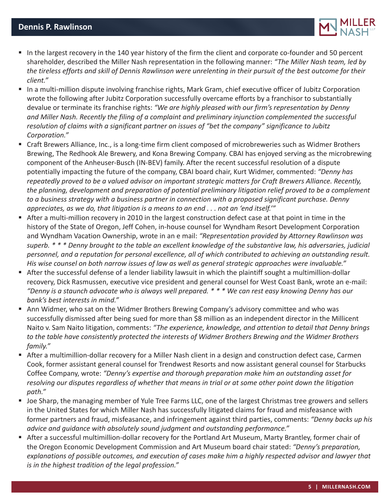

- In the largest recovery in the 140 year history of the firm the client and corporate co-founder and 50 percent shareholder, described the Miller Nash representation in the following manner: *"The Miller Nash team, led by the tireless efforts and skill of Dennis Rawlinson were unrelenting in their pursuit of the best outcome for their client."*
- In a multi-million dispute involving franchise rights, Mark Gram, chief executive officer of Jubitz Corporation wrote the following after Jubitz Corporation successfully overcame efforts by a franchisor to substantially devalue or terminate its franchise rights: *"We are highly pleased with our firm's representation by Denny and Miller Nash. Recently the filing of a complaint and preliminary injunction complemented the successful resolution of claims with a significant partner on issues of "bet the company" significance to Jubitz Corporation."*
- Craft Brewers Alliance, Inc., is a long-time firm client composed of microbreweries such as Widmer Brothers Brewing, The Redhook Ale Brewery, and Kona Brewing Company. CBAI has enjoyed serving as the microbrewing component of the Anheuser-Busch (IN-BEV) family. After the recent successful resolution of a dispute potentially impacting the future of the company, CBAI board chair, Kurt Widmer, commented: *"Denny has repeatedly proved to be a valued advisor on important strategic matters for Craft Brewers Alliance. Recently, the planning, development and preparation of potential preliminary litigation relief proved to be a complement to a business strategy with a business partner in connection with a proposed significant purchase. Denny appreciates, as we do, that litigation is a means to an end . . . not an 'end itself.'"*
- After a multi-million recovery in 2010 in the largest construction defect case at that point in time in the history of the State of Oregon, Jeff Cohen, in-house counsel for Wyndham Resort Development Corporation and Wyndham Vacation Ownership, wrote in an e mail: *"Representation provided by Attorney Rawlinson was superb. \* \* \* Denny brought to the table an excellent knowledge of the substantive law, his adversaries, judicial personnel, and a reputation for personal excellence, all of which contributed to achieving an outstanding result. His wise counsel on both narrow issues of law as well as general strategic approaches were invaluable."*
- After the successful defense of a lender liability lawsuit in which the plaintiff sought a multimillion-dollar recovery, Dick Rasmussen, executive vice president and general counsel for West Coast Bank, wrote an e-mail: *"Denny is a staunch advocate who is always well prepared. \* \* \* We can rest easy knowing Denny has our bank's best interests in mind."*
- Ann Widmer, who sat on the Widmer Brothers Brewing Company's advisory committee and who was successfully dismissed after being sued for more than \$8 million as an independent director in the Millicent Naito v. Sam Naito litigation, comments: *"The experience, knowledge, and attention to detail that Denny brings to the table have consistently protected the interests of Widmer Brothers Brewing and the Widmer Brothers family."*
- After a multimillion-dollar recovery for a Miller Nash client in a design and construction defect case, Carmen Cook, former assistant general counsel for Trendwest Resorts and now assistant general counsel for Starbucks Coffee Company, wrote: *"Denny's expertise and thorough preparation make him an outstanding asset for resolving our disputes regardless of whether that means in trial or at some other point down the litigation path."*
- Joe Sharp, the managing member of Yule Tree Farms LLC, one of the largest Christmas tree growers and sellers in the United States for which Miller Nash has successfully litigated claims for fraud and misfeasance with former partners and fraud, misfeasance, and infringement against third parties, comments: *"Denny backs up his advice and guidance with absolutely sound judgment and outstanding performance."*
- After a successful multimillion-dollar recovery for the Portland Art Museum, Marty Brantley, former chair of the Oregon Economic Development Commission and Art Museum board chair stated: *"Denny's preparation, explanations of possible outcomes, and execution of cases make him a highly respected advisor and lawyer that is in the highest tradition of the legal profession."*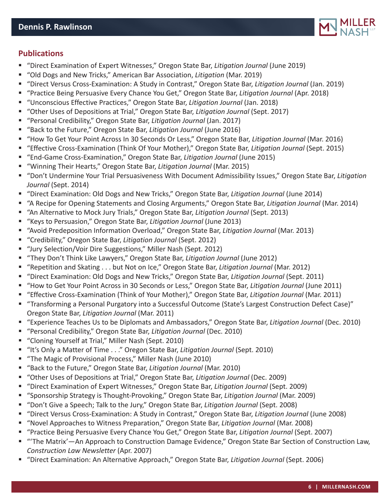

## **Publications**

- "Direct Examination of Expert Witnesses," Oregon State Bar, *Litigation Journal* (June 2019)
- "Old Dogs and New Tricks," American Bar Association, *Litigation* (Mar. 2019)
- "Direct Versus Cross-Examination: A Study in Contrast," Oregon State Bar, *Litigation Journal* (Jan. 2019)
- "Practice Being Persuasive Every Chance You Get," Oregon State Bar, *Litigation Journal* (Apr. 2018)
- "Unconscious Effective Practices," Oregon State Bar, *Litigation Journal* (Jan. 2018)
- "Other Uses of Depositions at Trial," Oregon State Bar, *Litigation Journal* (Sept. 2017)
- "Personal Credibility," Oregon State Bar, *Litigation Journal* (Jan. 2017)
- "Back to the Future," Oregon State Bar, *Litigation Journal* (June 2016)
- "How To Get Your Point Across In 30 Seconds Or Less," Oregon State Bar, *Litigation Journal* (Mar. 2016)
- "Effective Cross-Examination (Think Of Your Mother)," Oregon State Bar, *Litigation Journal* (Sept. 2015)
- "End-Game Cross-Examination," Oregon State Bar, *Litigation Journal* (June 2015)
- "Winning Their Hearts," Oregon State Bar, *Litigation Journal* (Mar. 2015)
- "Don't Undermine Your Trial Persuasiveness With Document Admissibility Issues," Oregon State Bar, *Litigation Journal* (Sept. 2014)
- "Direct Examination: Old Dogs and New Tricks," Oregon State Bar, *Litigation Journal* (June 2014)
- "A Recipe for Opening Statements and Closing Arguments," Oregon State Bar, *Litigation Journal* (Mar. 2014)
- "An Alternative to Mock Jury Trials," Oregon State Bar, *Litigation Journal* (Sept. 2013)
- "Keys to Persuasion," Oregon State Bar, *Litigation Journal* (June 2013)
- "Avoid Predeposition Information Overload," Oregon State Bar, *Litigation Journal* (Mar. 2013)
- "Credibility," Oregon State Bar, *Litigation Journal* (Sept. 2012)
- "Jury Selection/Voir Dire Suggestions," Miller Nash (Sept. 2012)
- "They Don't Think Like Lawyers," Oregon State Bar, *Litigation Journal* (June 2012)
- "Repetition and Skating . . . but Not on Ice," Oregon State Bar, *Litigation Journal* (Mar. 2012)
- "Direct Examination: Old Dogs and New Tricks," Oregon State Bar, *Litigation Journal* (Sept. 2011)
- "How to Get Your Point Across in 30 Seconds or Less," Oregon State Bar, *Litigation Journal* (June 2011)
- "Effective Cross-Examination (Think of Your Mother)," Oregon State Bar, *Litigation Journal* (Mar. 2011)
- "Transforming a Personal Purgatory into a Successful Outcome (State's Largest Construction Defect Case)" Oregon State Bar, *Litigation Journal* (Mar. 2011)
- "Experience Teaches Us to be Diplomats and Ambassadors," Oregon State Bar, *Litigation Journal* (Dec. 2010)
- "Personal Credibility," Oregon State Bar, *Litigation Journal* (Dec. 2010)
- "Cloning Yourself at Trial," Miller Nash (Sept. 2010)
- "It's Only a Matter of Time . . ." Oregon State Bar, *Litigation Journal* (Sept. 2010)
- "The Magic of Provisional Process," Miller Nash (June 2010)
- "Back to the Future," Oregon State Bar, *Litigation Journal* (Mar. 2010)
- "Other Uses of Depositions at Trial," Oregon State Bar, *Litigation Journal* (Dec. 2009)
- "Direct Examination of Expert Witnesses," Oregon State Bar, *Litigation Journal* (Sept. 2009)
- "Sponsorship Strategy is Thought-Provoking," Oregon State Bar, *Litigation Journal* (Mar. 2009)
- "Don't Give a Speech; Talk to the Jury," Oregon State Bar, *Litigation Journal* (Sept. 2008)
- "Direct Versus Cross-Examination: A Study in Contrast," Oregon State Bar, *Litigation Journal* (June 2008)
- "Novel Approaches to Witness Preparation," Oregon State Bar, *Litigation Journal* (Mar. 2008)
- "Practice Being Persuasive Every Chance You Get," Oregon State Bar, *Litigation Journal* (Sept. 2007)
- "'The Matrix'—An Approach to Construction Damage Evidence," Oregon State Bar Section of Construction Law, *Construction Law Newsletter* (Apr. 2007)
- "Direct Examination: An Alternative Approach," Oregon State Bar, *Litigation Journal* (Sept. 2006)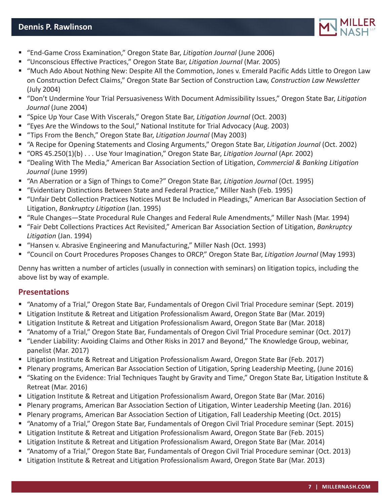

- "End-Game Cross Examination," Oregon State Bar, *Litigation Journal* (June 2006)
- "Unconscious Effective Practices," Oregon State Bar, *Litigation Journal* (Mar. 2005)
- "Much Ado About Nothing New: Despite All the Commotion, Jones v. Emerald Pacific Adds Little to Oregon Law on Construction Defect Claims," Oregon State Bar Section of Construction Law, *Construction Law Newsletter* (July 2004)
- "Don't Undermine Your Trial Persuasiveness With Document Admissibility Issues," Oregon State Bar, *Litigation Journal* (June 2004)
- "Spice Up Your Case With Viscerals," Oregon State Bar, *Litigation Journal* (Oct. 2003)
- "Eyes Are the Windows to the Soul," National Institute for Trial Advocacy (Aug. 2003)
- "Tips From the Bench," Oregon State Bar, *Litigation Journal* (May 2003)
- "A Recipe for Opening Statements and Closing Arguments," Oregon State Bar, *Litigation Journal* (Oct. 2002)
- "ORS 45.250(1)(b) . . . Use Your Imagination," Oregon State Bar, *Litigation Journal* (Apr. 2002)
- "Dealing With The Media," American Bar Association Section of Litigation, *Commercial & Banking Litigation Journal* (June 1999)
- "An Aberration or a Sign of Things to Come?" Oregon State Bar, *Litigation Journal* (Oct. 1995)
- "Evidentiary Distinctions Between State and Federal Practice," Miller Nash (Feb. 1995)
- "Unfair Debt Collection Practices Notices Must Be Included in Pleadings," American Bar Association Section of Litigation, *Bankruptcy Litigation* (Jan. 1995)
- "Rule Changes—State Procedural Rule Changes and Federal Rule Amendments," Miller Nash (Mar. 1994)
- "Fair Debt Collections Practices Act Revisited," American Bar Association Section of Litigation, *Bankruptcy Litigation* (Jan. 1994)
- "Hansen v. Abrasive Engineering and Manufacturing," Miller Nash (Oct. 1993)
- "Council on Court Procedures Proposes Changes to ORCP," Oregon State Bar, *Litigation Journal* (May 1993)

Denny has written a number of articles (usually in connection with seminars) on litigation topics, including the above list by way of example.

## **Presentations**

- "Anatomy of a Trial," Oregon State Bar, Fundamentals of Oregon Civil Trial Procedure seminar (Sept. 2019)
- Litigation Institute & Retreat and Litigation Professionalism Award, Oregon State Bar (Mar. 2019)
- Litigation Institute & Retreat and Litigation Professionalism Award, Oregon State Bar (Mar. 2018)
- "Anatomy of a Trial," Oregon State Bar, Fundamentals of Oregon Civil Trial Procedure seminar (Oct. 2017)
- "Lender Liability: Avoiding Claims and Other Risks in 2017 and Beyond," The Knowledge Group, webinar, panelist (Mar. 2017)
- Litigation Institute & Retreat and Litigation Professionalism Award, Oregon State Bar (Feb. 2017)
- Plenary programs, American Bar Association Section of Litigation, Spring Leadership Meeting, (June 2016)
- "Skating on the Evidence: Trial Techniques Taught by Gravity and Time," Oregon State Bar, Litigation Institute & Retreat (Mar. 2016)
- Litigation Institute & Retreat and Litigation Professionalism Award, Oregon State Bar (Mar. 2016)
- Plenary programs, American Bar Association Section of Litigation, Winter Leadership Meeting (Jan. 2016)
- Plenary programs, American Bar Association Section of Litigation, Fall Leadership Meeting (Oct. 2015)
- "Anatomy of a Trial," Oregon State Bar, Fundamentals of Oregon Civil Trial Procedure seminar (Sept. 2015)
- **E** Litigation Institute & Retreat and Litigation Professionalism Award, Oregon State Bar (Feb. 2015)
- Litigation Institute & Retreat and Litigation Professionalism Award, Oregon State Bar (Mar. 2014)
- "Anatomy of a Trial," Oregon State Bar, Fundamentals of Oregon Civil Trial Procedure seminar (Oct. 2013)
- Litigation Institute & Retreat and Litigation Professionalism Award, Oregon State Bar (Mar. 2013)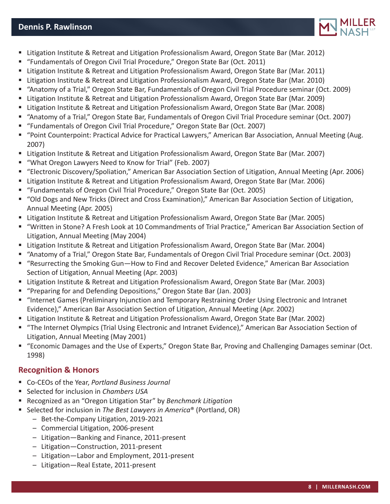

- Litigation Institute & Retreat and Litigation Professionalism Award, Oregon State Bar (Mar. 2012)
- "Fundamentals of Oregon Civil Trial Procedure," Oregon State Bar (Oct. 2011)
- Litigation Institute & Retreat and Litigation Professionalism Award, Oregon State Bar (Mar. 2011)
- Litigation Institute & Retreat and Litigation Professionalism Award, Oregon State Bar (Mar. 2010)
- "Anatomy of a Trial," Oregon State Bar, Fundamentals of Oregon Civil Trial Procedure seminar (Oct. 2009)
- Litigation Institute & Retreat and Litigation Professionalism Award, Oregon State Bar (Mar. 2009)
- Litigation Institute & Retreat and Litigation Professionalism Award, Oregon State Bar (Mar. 2008)
- "Anatomy of a Trial," Oregon State Bar, Fundamentals of Oregon Civil Trial Procedure seminar (Oct. 2007)
- "Fundamentals of Oregon Civil Trial Procedure," Oregon State Bar (Oct. 2007)
- "Point Counterpoint: Practical Advice for Practical Lawyers," American Bar Association, Annual Meeting (Aug. 2007)
- Litigation Institute & Retreat and Litigation Professionalism Award, Oregon State Bar (Mar. 2007)
- "What Oregon Lawyers Need to Know for Trial" (Feb. 2007)
- "Electronic Discovery/Spoliation," American Bar Association Section of Litigation, Annual Meeting (Apr. 2006)
- Litigation Institute & Retreat and Litigation Professionalism Award, Oregon State Bar (Mar. 2006)
- "Fundamentals of Oregon Civil Trial Procedure," Oregon State Bar (Oct. 2005)
- "Old Dogs and New Tricks (Direct and Cross Examination)," American Bar Association Section of Litigation, Annual Meeting (Apr. 2005)
- Litigation Institute & Retreat and Litigation Professionalism Award, Oregon State Bar (Mar. 2005)
- "Written in Stone? A Fresh Look at 10 Commandments of Trial Practice," American Bar Association Section of Litigation, Annual Meeting (May 2004)
- Litigation Institute & Retreat and Litigation Professionalism Award, Oregon State Bar (Mar. 2004)
- "Anatomy of a Trial," Oregon State Bar, Fundamentals of Oregon Civil Trial Procedure seminar (Oct. 2003)
- "Resurrecting the Smoking Gun—How to Find and Recover Deleted Evidence," American Bar Association Section of Litigation, Annual Meeting (Apr. 2003)
- Litigation Institute & Retreat and Litigation Professionalism Award, Oregon State Bar (Mar. 2003)
- "Preparing for and Defending Depositions," Oregon State Bar (Jan. 2003)
- "Internet Games (Preliminary Injunction and Temporary Restraining Order Using Electronic and Intranet Evidence)," American Bar Association Section of Litigation, Annual Meeting (Apr. 2002)
- Litigation Institute & Retreat and Litigation Professionalism Award, Oregon State Bar (Mar. 2002)
- "The Internet Olympics (Trial Using Electronic and Intranet Evidence)," American Bar Association Section of Litigation, Annual Meeting (May 2001)
- "Economic Damages and the Use of Experts," Oregon State Bar, Proving and Challenging Damages seminar (Oct. 1998)

# **Recognition & Honors**

- Co-CEOs of the Year, *Portland Business Journal*
- Selected for inclusion in *Chambers USA*
- Recognized as an "Oregon Litigation Star" by *Benchmark Litigation*
- Selected for inclusion in *The Best Lawyers in America®* (Portland, OR)
	- Bet-the-Company Litigation, 2019-2021
	- Commercial Litigation, 2006-present
	- Litigation—Banking and Finance, 2011-present
	- Litigation—Construction, 2011-present
	- Litigation—Labor and Employment, 2011-present
	- Litigation—Real Estate, 2011-present